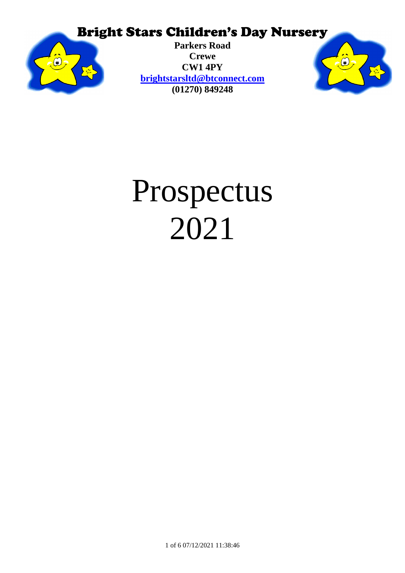

**Parkers Road Crewe CW1 4PY [brightstarsltd@btconnect.com](mailto:brightstarsltd@btconnect.com) (01270) 849248**



# Prospectus 2021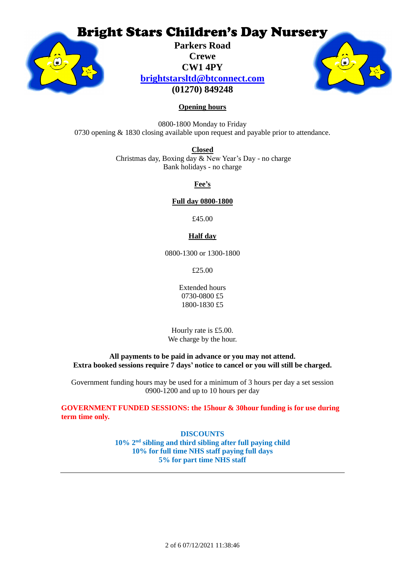

**Parkers Road Crewe CW1 4PY [brightstarsltd@btconnect.com](mailto:brightstarsltd@btconnect.com) (01270) 849248**



#### **Opening hours**

0800-1800 Monday to Friday 0730 opening & 1830 closing available upon request and payable prior to attendance.

> **Closed** Christmas day, Boxing day & New Year's Day - no charge Bank holidays - no charge

> > **Fee's**

#### **Full day 0800-1800**

£45.00

#### **Half day**

0800-1300 or 1300-1800

£25.00

Extended hours 0730-0800 £5 1800-1830 £5

Hourly rate is £5.00. We charge by the hour.

**All payments to be paid in advance or you may not attend. Extra booked sessions require 7 days' notice to cancel or you will still be charged.**

Government funding hours may be used for a minimum of 3 hours per day a set session 0900-1200 and up to 10 hours per day

**GOVERNMENT FUNDED SESSIONS: the 15hour & 30hour funding is for use during term time only.**

> **DISCOUNTS 10% 2nd sibling and third sibling after full paying child 10% for full time NHS staff paying full days 5% for part time NHS staff**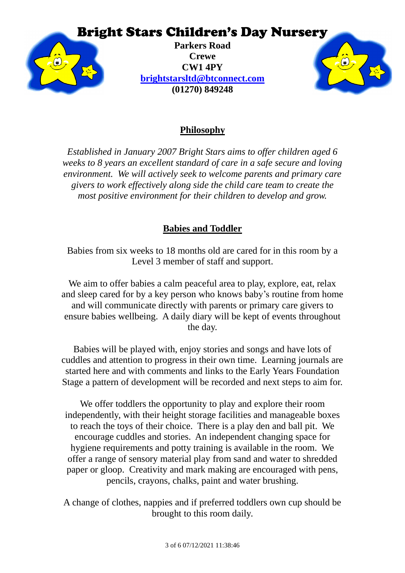

**Parkers Road Crewe CW1 4PY [brightstarsltd@btconnect.com](mailto:brightstarsltd@btconnect.com) (01270) 849248**



#### **Philosophy**

*Established in January 2007 Bright Stars aims to offer children aged 6 weeks to 8 years an excellent standard of care in a safe secure and loving environment. We will actively seek to welcome parents and primary care givers to work effectively along side the child care team to create the most positive environment for their children to develop and grow.*

#### **Babies and Toddler**

Babies from six weeks to 18 months old are cared for in this room by a Level 3 member of staff and support.

We aim to offer babies a calm peaceful area to play, explore, eat, relax and sleep cared for by a key person who knows baby's routine from home and will communicate directly with parents or primary care givers to ensure babies wellbeing. A daily diary will be kept of events throughout the day.

Babies will be played with, enjoy stories and songs and have lots of cuddles and attention to progress in their own time. Learning journals are started here and with comments and links to the Early Years Foundation Stage a pattern of development will be recorded and next steps to aim for.

We offer toddlers the opportunity to play and explore their room independently, with their height storage facilities and manageable boxes to reach the toys of their choice. There is a play den and ball pit. We encourage cuddles and stories. An independent changing space for hygiene requirements and potty training is available in the room. We offer a range of sensory material play from sand and water to shredded paper or gloop. Creativity and mark making are encouraged with pens, pencils, crayons, chalks, paint and water brushing.

A change of clothes, nappies and if preferred toddlers own cup should be brought to this room daily.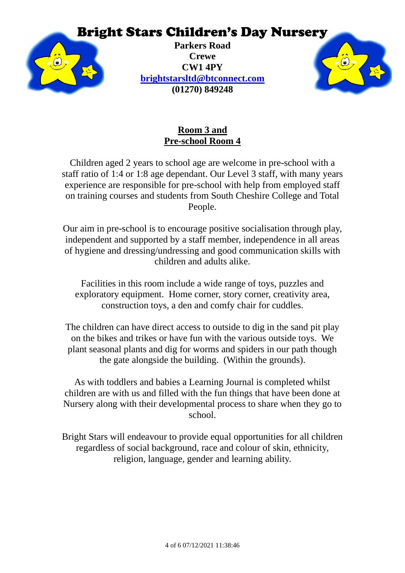

**Parkers Road Crewe CW1 4PY [brightstarsltd@btconnect.com](mailto:brightstarsltd@btconnect.com) (01270) 849248**



## **Room 3 and Pre-school Room 4**

Children aged 2 years to school age are welcome in pre-school with a staff ratio of 1:4 or 1:8 age dependant. Our Level 3 staff, with many years experience are responsible for pre-school with help from employed staff on training courses and students from South Cheshire College and Total People.

Our aim in pre-school is to encourage positive socialisation through play, independent and supported by a staff member, independence in all areas of hygiene and dressing/undressing and good communication skills with children and adults alike.

Facilities in this room include a wide range of toys, puzzles and exploratory equipment. Home corner, story corner, creativity area, construction toys, a den and comfy chair for cuddles.

The children can have direct access to outside to dig in the sand pit play on the bikes and trikes or have fun with the various outside toys. We plant seasonal plants and dig for worms and spiders in our path though the gate alongside the building. (Within the grounds).

As with toddlers and babies a Learning Journal is completed whilst children are with us and filled with the fun things that have been done at Nursery along with their developmental process to share when they go to school.

Bright Stars will endeavour to provide equal opportunities for all children regardless of social background, race and colour of skin, ethnicity, religion, language, gender and learning ability.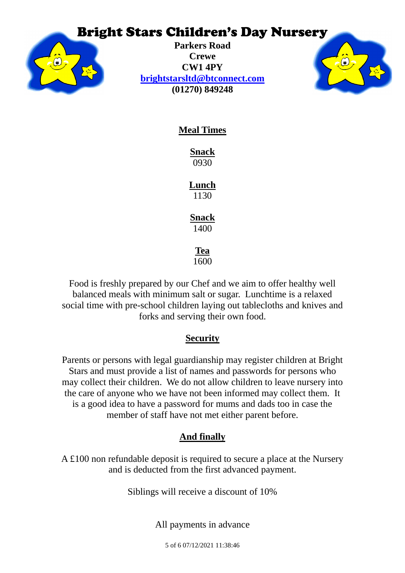

**Parkers Road Crewe CW1 4PY [brightstarsltd@btconnect.com](mailto:brightstarsltd@btconnect.com) (01270) 849248**



**Meal Times**

**Snack** 0930

**Lunch** 1130

**Snack** 1400

**Tea**

1600

Food is freshly prepared by our Chef and we aim to offer healthy well balanced meals with minimum salt or sugar. Lunchtime is a relaxed social time with pre-school children laying out tablecloths and knives and forks and serving their own food.

### **Security**

Parents or persons with legal guardianship may register children at Bright Stars and must provide a list of names and passwords for persons who may collect their children. We do not allow children to leave nursery into the care of anyone who we have not been informed may collect them. It is a good idea to have a password for mums and dads too in case the member of staff have not met either parent before.

## **And finally**

A £100 non refundable deposit is required to secure a place at the Nursery and is deducted from the first advanced payment.

Siblings will receive a discount of 10%

All payments in advance

5 of 6 07/12/2021 11:38:46